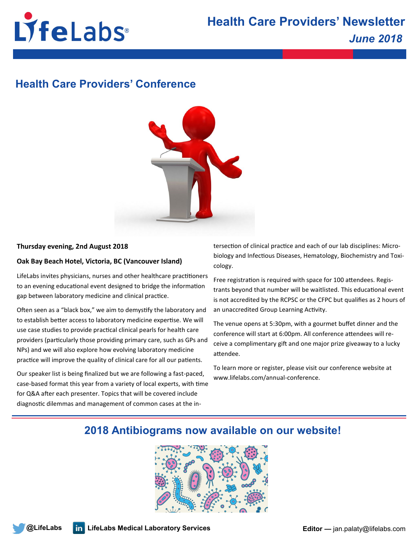

# **Health Care Providers' Conference**



### **Thursday evening, 2nd August 2018**

## **Oak Bay Beach Hotel, Victoria, BC (Vancouver Island)**

LifeLabs invites physicians, nurses and other healthcare practitioners to an evening educational event designed to bridge the information gap between laboratory medicine and clinical practice.

Often seen as a "black box," we aim to demystify the laboratory and to establish better access to laboratory medicine expertise. We will use case studies to provide practical clinical pearls for health care providers (particularly those providing primary care, such as GPs and NPs) and we will also explore how evolving laboratory medicine practice will improve the quality of clinical care for all our patients.

Our speaker list is being finalized but we are following a fast-paced, case-based format this year from a variety of local experts, with time for Q&A after each presenter. Topics that will be covered include diagnostic dilemmas and management of common cases at the intersection of clinical practice and each of our lab disciplines: Microbiology and Infectious Diseases, Hematology, Biochemistry and Toxicology.

Free registration is required with space for 100 attendees. Registrants beyond that number will be waitlisted. This educational event is not accredited by the RCPSC or the CFPC but qualifies as 2 hours of an unaccredited Group Learning Activity.

The venue opens at 5:30pm, with a gourmet buffet dinner and the conference will start at 6:00pm. All conference attendees will receive a complimentary gift and one major prize giveaway to a lucky attendee.

To learn more or register, please visit our conference website at www.lifelabs.com/annual-conference.

# **2018 Antibiograms now available on our website!**

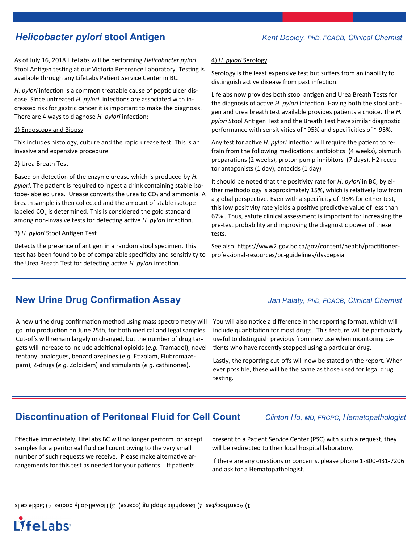# *Helicobacter pylori* **stool Antigen** *Kent Dooley, PhD, FCACB, Clinical Chemist*

As of July 16, 2018 LifeLabs will be performing *Helicobacter pylori*  Stool Antigen testing at our Victoria Reference Laboratory. Testing is available through any LifeLabs Patient Service Center in BC.

*H. pylori* infection is a common treatable cause of peptic ulcer disease. Since untreated *H. pylori* infections are associated with increased risk for gastric cancer it is important to make the diagnosis. There are 4 ways to diagnose *H. pylori* infection:

#### 1) Endoscopy and Biopsy

This includes histology, culture and the rapid urease test. This is an invasive and expensive procedure

### 2) Urea Breath Test

Based on detection of the enzyme urease which is produced by *H. pylori*. The patient is required to ingest a drink containing stable isotope-labeled urea. Urease converts the urea to  $CO<sub>2</sub>$  and ammonia. A breath sample is then collected and the amount of stable isotopelabeled  $CO<sub>2</sub>$  is determined. This is considered the gold standard among non-invasive tests for detecting active *H. pylori* infection.

### 3) *H. pylori* Stool Antigen Test

Detects the presence of antigen in a random stool specimen. This test has been found to be of comparable specificity and sensitivity to the Urea Breath Test for detecting active *H. pylori* infection.

### 4) *H. pylori* Serology

Serology is the least expensive test but suffers from an inability to distinguish active disease from past infection.

Lifelabs now provides both stool antigen and Urea Breath Tests for the diagnosis of active *H. pylori* infection. Having both the stool antigen and urea breath test available provides patients a choice. The *H. pylori* Stool Antigen Test and the Breath Test have similar diagnostic performance with sensitivities of ~95% and specificities of ~ 95%.

Any test for active *H. pylori* infection will require the patient to refrain from the following medications: antibiotics (4 weeks), bismuth preparations (2 weeks), proton pump inhibitors (7 days), H2 receptor antagonists (1 day), antacids (1 day)

It should be noted that the positivity rate for *H. pylori* in BC, by either methodology is approximately 15%, which is relatively low from a global perspective. Even with a specificity of 95% for either test, this low positivity rate yields a positive predictive value of less than 67% . Thus, astute clinical assessment is important for increasing the pre-test probability and improving the diagnostic power of these tests.

See also: https://www2.gov.bc.ca/gov/content/health/practitionerprofessional-resources/bc-guidelines/dyspepsia

# **New Urine Drug Confirmation Assay** *Jan Palaty, PhD, FCACB, Clinical Chemist*

A new urine drug confirmation method using mass spectrometry will go into production on June 25th, for both medical and legal samples. Cut-offs will remain largely unchanged, but the number of drug targets will increase to include additional opioids (*e.g.* Tramadol), novel fentanyl analogues, benzodiazepines (*e.g.* Etizolam, Flubromazepam), Z-drugs (*e.g.* Zolpidem) and stimulants (*e.g.* cathinones).

You will also notice a difference in the reporting format, which will include quantitation for most drugs. This feature will be particularly useful to distinguish previous from new use when monitoring patients who have recently stopped using a particular drug.

Lastly, the reporting cut-offs will now be stated on the report. Wherever possible, these will be the same as those used for legal drug testing.

# **Discontinuation of Peritoneal Fluid for Cell Count** *Clinton Ho, MD, FRCPC, Hematopathologist*

Effective immediately, LifeLabs BC will no longer perform or accept samples for a peritoneal fluid cell count owing to the very small number of such requests we receive. Please make alternative arrangements for this test as needed for your patients. If patients

present to a Patient Service Center (PSC) with such a request, they will be redirected to their local hospital laboratory.

If there are any questions or concerns, please phone 1-800-431-7206 and ask for a Hematopathologist.

 $I)$  Acanthocytes 2) Basophilic shilqding (coarse) 3) Howell-Jolly bodies 4) Sickle cells

LifeLabs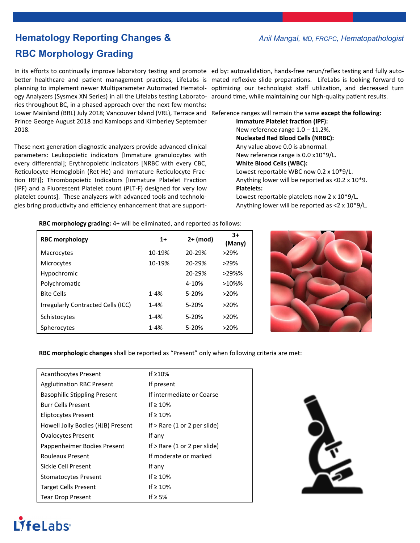# **Hematology Reporting Changes &** *Anil Mangal, MD, FRCPC, Hematopathologist* **RBC Morphology Grading**

In its efforts to continually improve laboratory testing and promote ed by: autovalidation, hands-free rerun/reflex testing and fully autobetter healthcare and patient management practices, LifeLabs is mated reflexive slide preparations. LifeLabs is looking forward to planning to implement newer Multiparameter Automated Hematol-optimizing our technologist staff utilization, and decreased turn ogy Analyzers (Sysmex XN Series) in all the Lifelabs testing Laborato-around time, while maintaining our high-quality patient results. ries throughout BC, in a phased approach over the next few months: Lower Mainland (BRL) July 2018; Vancouver Island (VRL), Terrace and Reference ranges will remain the same except the following: Prince George August 2018 and Kamloops and Kimberley September 2018.

These next generation diagnostic analyzers provide advanced clinical parameters: Leukopoietic indicators [Immature granulocytes with every differential]; Erythropoietic indicators [NRBC with every CBC, Reticulocyte Hemoglobin (Ret-He) and Immature Reticulocyte Fraction IRF)]; Thrombopoietic Indicators [Immature Platelet Fraction (IPF) and a Fluorescent Platelet count (PLT-F) designed for very low platelet counts]. These analyzers with advanced tools and technologies bring productivity and efficiency enhancement that are support-

**Immature Platelet fraction (IPF):**  New reference range 1.0 – 11.2%. **Nucleated Red Blood Cells (NRBC):**  Any value above 0.0 is abnormal. New reference range is 0.0 x10\*9/L. **White Blood Cells (WBC):**  Lowest reportable WBC now 0.2 x 10\*9/L. Anything lower will be reported as <0.2 x 10\*9. **Platelets:** Lowest reportable platelets now 2 x 10\*9/L. Anything lower will be reported as <2 x 10\*9/L.

**RBC morphology grading:** 4+ will be eliminated, and reported as follows:

| <b>RBC morphology</b>              | $1+$     | $2+ (mod)$ | $3+$<br>(Many) |
|------------------------------------|----------|------------|----------------|
| Macrocytes                         | 10-19%   | 20-29%     | $>29\%$        |
| Microcytes                         | 10-19%   | 20-29%     | $>29\%$        |
| Hypochromic                        |          | 20-29%     | $>29\%$ %      |
| Polychromatic                      |          | $4 - 10%$  | $>10\%$ %      |
| <b>Bite Cells</b>                  | $1 - 4%$ | $5-20%$    | >20%           |
| Irregularly Contracted Cells (ICC) | $1 - 4%$ | 5-20%      | $>20\%$        |
| Schistocytes                       | $1 - 4%$ | 5-20%      | $>20\%$        |
| Spherocytes                        | $1 - 4%$ | 5-20%      | $>20\%$        |



**RBC morphologic changes** shall be reported as "Present" only when following criteria are met:

| <b>Acanthocytes Present</b>         | If $\geq 10\%$                 |  |
|-------------------------------------|--------------------------------|--|
| <b>Agglutination RBC Present</b>    | If present                     |  |
| <b>Basophilic Stippling Present</b> | If intermediate or Coarse      |  |
| <b>Burr Cells Present</b>           | If $\geq 10\%$                 |  |
| <b>Eliptocytes Present</b>          | If $\geq 10\%$                 |  |
| Howell Jolly Bodies (HJB) Present   | If $>$ Rare (1 or 2 per slide) |  |
| <b>Ovalocytes Present</b>           | If any                         |  |
| Pappenheimer Bodies Present         | If $>$ Rare (1 or 2 per slide) |  |
| Rouleaux Present                    | If moderate or marked          |  |
| Sickle Cell Present                 | If any                         |  |
| <b>Stomatocytes Present</b>         | If $\geq 10\%$                 |  |
| <b>Target Cells Present</b>         | If $\geq 10\%$                 |  |
| <b>Tear Drop Present</b>            | If $\geq$ 5%                   |  |



# LifeLabs